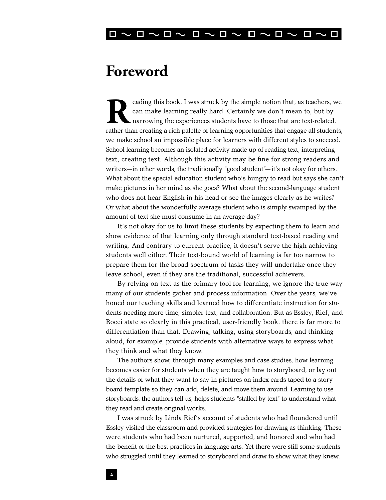

## **Foreword**

eading this book, I was struck by the simple notion that, as teachers, we can make learning really hard. Certainly we don't mean to, but by narrowing the experiences students have to those that are text-related, rather tha can make learning really hard. Certainly we don't mean to, but by narrowing the experiences students have to those that are text-related, rather than creating a rich palette of learning opportunities that engage all students, we make school an impossible place for learners with different styles to succeed. School-learning becomes an isolated activity made up of reading text, interpreting text, creating text. Although this activity may be fine for strong readers and writers—in other words, the traditionally "good student"—it's not okay for others. What about the special education student who's hungry to read but says she can't make pictures in her mind as she goes? What about the second-language student who does not hear English in his head or see the images clearly as he writes? Or what about the wonderfully average student who is simply swamped by the amount of text she must consume in an average day?

It's not okay for us to limit these students by expecting them to learn and show evidence of that learning only through standard text-based reading and writing. And contrary to current practice, it doesn't serve the high-achieving students well either. Their text-bound world of learning is far too narrow to prepare them for the broad spectrum of tasks they will undertake once they leave school, even if they are the traditional, successful achievers.

By relying on text as the primary tool for learning, we ignore the true way many of our students gather and process information. Over the years, we've honed our teaching skills and learned how to differentiate instruction for students needing more time, simpler text, and collaboration. But as Essley, Rief, and Rocci state so clearly in this practical, user-friendly book, there is far more to differentiation than that. Drawing, talking, using storyboards, and thinking aloud, for example, provide students with alternative ways to express what they think and what they know.

The authors show, through many examples and case studies, how learning becomes easier for students when they are taught how to storyboard, or lay out the details of what they want to say in pictures on index cards taped to a storyboard template so they can add, delete, and move them around. Learning to use storyboards, the authors tell us, helps students "stalled by text" to understand what they read and create original works.

I was struck by Linda Rief's account of students who had floundered until Essley visited the classroom and provided strategies for drawing as thinking. These were students who had been nurtured, supported, and honored and who had the benefit of the best practices in language arts. Yet there were still some students who struggled until they learned to storyboard and draw to show what they knew.